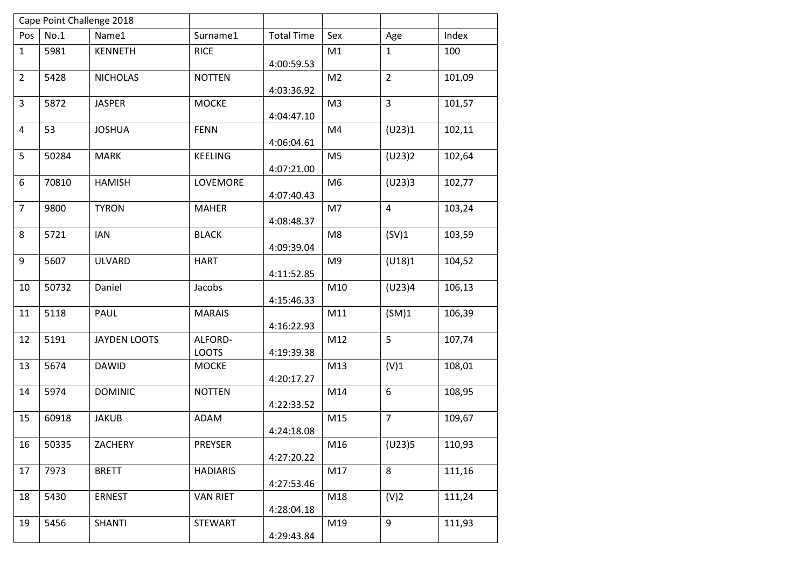|                |       | Cape Point Challenge 2018 |                 |                   |                |                  |        |
|----------------|-------|---------------------------|-----------------|-------------------|----------------|------------------|--------|
| Pos            | No.1  | Name1                     | Surname1        | <b>Total Time</b> | Sex            | Age              | Index  |
| $\mathbf{1}$   | 5981  | <b>KENNETH</b>            | <b>RICE</b>     |                   | M1             | $\mathbf{1}$     | 100    |
|                |       |                           |                 | 4:00:59.53        |                |                  |        |
| $\overline{2}$ | 5428  | <b>NICHOLAS</b>           | <b>NOTTEN</b>   |                   | M <sub>2</sub> | $\overline{2}$   | 101,09 |
|                |       |                           |                 | 4:03:36.92        |                |                  |        |
| 3              | 5872  | <b>JASPER</b>             | <b>MOCKE</b>    |                   | M <sub>3</sub> | $\overline{3}$   | 101,57 |
| 4              | 53    | <b>JOSHUA</b>             | <b>FENN</b>     | 4:04:47.10        | M4             | (U23)1           | 102,11 |
|                |       |                           |                 | 4:06:04.61        |                |                  |        |
| 5              | 50284 | <b>MARK</b>               | <b>KEELING</b>  |                   | M <sub>5</sub> | (U23)2           | 102,64 |
|                |       |                           |                 | 4:07:21.00        |                |                  |        |
| 6              | 70810 | <b>HAMISH</b>             | LOVEMORE        |                   | M <sub>6</sub> | (U23)3           | 102,77 |
|                |       |                           |                 | 4:07:40.43        |                |                  |        |
| $\overline{7}$ | 9800  | <b>TYRON</b>              | <b>MAHER</b>    |                   | M7             | $\overline{4}$   | 103,24 |
|                |       |                           |                 | 4:08:48.37        |                |                  |        |
| 8              | 5721  | <b>IAN</b>                | <b>BLACK</b>    |                   | M <sub>8</sub> | (SV)1            | 103,59 |
|                |       |                           |                 | 4:09:39.04        |                |                  |        |
| 9              | 5607  | <b>ULVARD</b>             | <b>HART</b>     |                   | M <sub>9</sub> | (U18)1           | 104,52 |
| 10             | 50732 | Daniel                    | Jacobs          | 4:11:52.85        | M10            | (U23)4           | 106,13 |
|                |       |                           |                 | 4:15:46.33        |                |                  |        |
| 11             | 5118  | PAUL                      | <b>MARAIS</b>   |                   | M11            | (SM)1            | 106,39 |
|                |       |                           |                 | 4:16:22.93        |                |                  |        |
| 12             | 5191  | <b>JAYDEN LOOTS</b>       | ALFORD-         |                   | M12            | 5                | 107,74 |
|                |       |                           | <b>LOOTS</b>    | 4:19:39.38        |                |                  |        |
| 13             | 5674  | <b>DAWID</b>              | <b>MOCKE</b>    |                   | M13            | (V)1             | 108,01 |
|                |       |                           |                 | 4:20:17.27        |                |                  |        |
| 14             | 5974  | <b>DOMINIC</b>            | <b>NOTTEN</b>   |                   | M14            | $\boldsymbol{6}$ | 108,95 |
|                |       |                           |                 | 4:22:33.52        |                |                  |        |
| 15             | 60918 | <b>JAKUB</b>              | ADAM            |                   | M15            | $\overline{7}$   | 109,67 |
|                |       |                           |                 | 4:24:18.08        |                |                  |        |
| 16             | 50335 | ZACHERY                   | PREYSER         | 4:27:20.22        | M16            | (U23)5           | 110,93 |
| 17             | 7973  | <b>BRETT</b>              | <b>HADIARIS</b> |                   | M17            | 8                | 111,16 |
|                |       |                           |                 | 4:27:53.46        |                |                  |        |
| 18             | 5430  | <b>ERNEST</b>             | <b>VAN RIET</b> |                   | M18            | (V)2             | 111,24 |
|                |       |                           |                 | 4:28:04.18        |                |                  |        |
| 19             | 5456  | <b>SHANTI</b>             | <b>STEWART</b>  |                   | M19            | 9                | 111,93 |
|                |       |                           |                 | 4:29:43.84        |                |                  |        |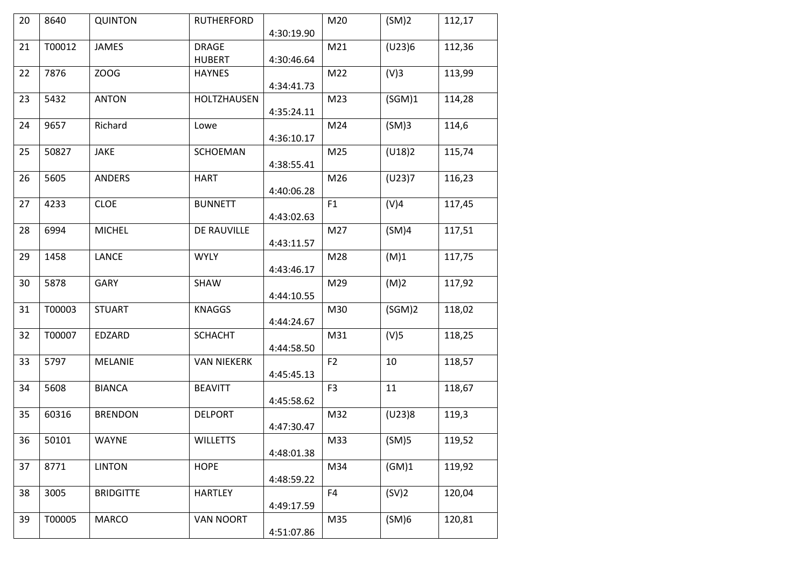| 20 | 8640   | <b>QUINTON</b>   | <b>RUTHERFORD</b>  |            | M20            | (SM)2  | 112,17 |
|----|--------|------------------|--------------------|------------|----------------|--------|--------|
|    |        |                  |                    | 4:30:19.90 |                |        |        |
| 21 | T00012 | <b>JAMES</b>     | <b>DRAGE</b>       |            | M21            | (U23)6 | 112,36 |
|    |        |                  | <b>HUBERT</b>      | 4:30:46.64 |                |        |        |
| 22 | 7876   | ZOOG             | <b>HAYNES</b>      |            | M22            | (V)3   | 113,99 |
|    |        |                  |                    | 4:34:41.73 |                |        |        |
| 23 | 5432   | <b>ANTON</b>     | HOLTZHAUSEN        |            | M23            | (SGM)1 | 114,28 |
|    |        |                  |                    | 4:35:24.11 |                |        |        |
| 24 | 9657   | Richard          | Lowe               |            | M24            | (SM)3  | 114,6  |
|    |        |                  |                    | 4:36:10.17 |                |        |        |
| 25 | 50827  | JAKE             | SCHOEMAN           |            | M25            | (U18)2 | 115,74 |
|    |        |                  |                    | 4:38:55.41 |                |        |        |
| 26 | 5605   | <b>ANDERS</b>    | <b>HART</b>        |            | M26            | (U23)7 | 116,23 |
|    |        |                  |                    | 4:40:06.28 |                |        |        |
| 27 | 4233   | <b>CLOE</b>      | <b>BUNNETT</b>     |            | F1             | (V)4   | 117,45 |
|    |        |                  |                    |            |                |        |        |
|    |        |                  |                    | 4:43:02.63 |                |        |        |
| 28 | 6994   | <b>MICHEL</b>    | DE RAUVILLE        |            | M27            | (SM)4  | 117,51 |
|    |        |                  |                    | 4:43:11.57 |                |        |        |
| 29 | 1458   | <b>LANCE</b>     | <b>WYLY</b>        |            | M28            | (M)1   | 117,75 |
|    |        |                  |                    | 4:43:46.17 |                |        |        |
| 30 | 5878   | GARY             | <b>SHAW</b>        |            | M29            | (M)2   | 117,92 |
|    |        |                  |                    | 4:44:10.55 |                |        |        |
| 31 | T00003 | <b>STUART</b>    | <b>KNAGGS</b>      |            | M30            | (SGM)2 | 118,02 |
|    |        |                  |                    | 4:44:24.67 |                |        |        |
| 32 | T00007 | EDZARD           | <b>SCHACHT</b>     |            | M31            | (V)5   | 118,25 |
|    |        |                  |                    | 4:44:58.50 |                |        |        |
| 33 | 5797   | <b>MELANIE</b>   | <b>VAN NIEKERK</b> |            | F <sub>2</sub> | 10     | 118,57 |
|    |        |                  |                    | 4:45:45.13 |                |        |        |
| 34 | 5608   | <b>BIANCA</b>    | <b>BEAVITT</b>     |            | F <sub>3</sub> | $11\,$ | 118,67 |
|    |        |                  |                    | 4:45:58.62 |                |        |        |
| 35 | 60316  | <b>BRENDON</b>   | <b>DELPORT</b>     |            | M32            | (U23)8 | 119,3  |
|    |        |                  |                    |            |                |        |        |
|    |        |                  |                    | 4:47:30.47 |                |        |        |
| 36 | 50101  | WAYNE            | <b>WILLETTS</b>    |            | M33            | (SM)5  | 119,52 |
|    |        |                  |                    | 4:48:01.38 |                |        |        |
| 37 | 8771   | <b>LINTON</b>    | <b>HOPE</b>        |            | M34            | (GM)1  | 119,92 |
|    |        |                  |                    | 4:48:59.22 |                |        |        |
| 38 | 3005   | <b>BRIDGITTE</b> | <b>HARTLEY</b>     |            | F4             | (SV)2  | 120,04 |
|    |        |                  |                    | 4:49:17.59 |                |        |        |
| 39 | T00005 | <b>MARCO</b>     | <b>VAN NOORT</b>   |            | M35            | (SM)6  | 120,81 |
|    |        |                  |                    | 4:51:07.86 |                |        |        |
|    |        |                  |                    |            |                |        |        |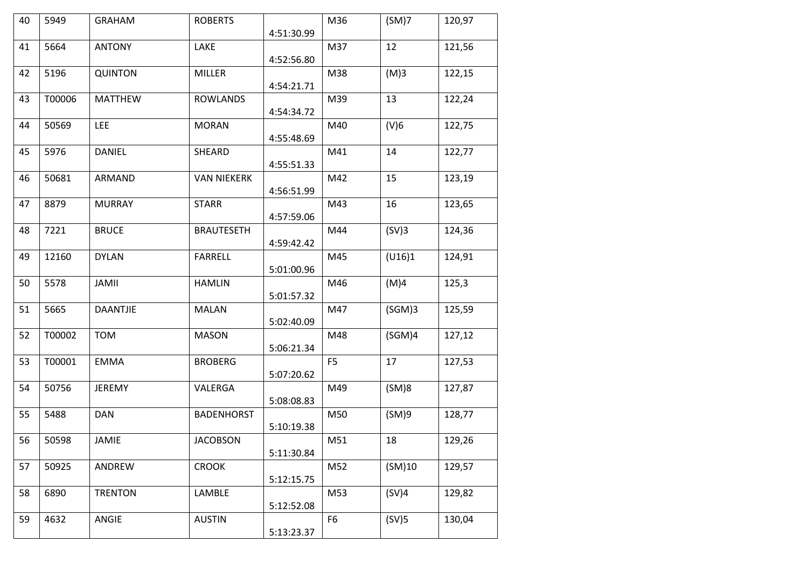| 40 | 5949   | <b>GRAHAM</b>  | <b>ROBERTS</b>     |            | M36            | (SM)7              | 120,97 |
|----|--------|----------------|--------------------|------------|----------------|--------------------|--------|
|    |        |                |                    | 4:51:30.99 |                |                    |        |
| 41 | 5664   | <b>ANTONY</b>  | LAKE               |            | M37            | 12                 | 121,56 |
|    |        |                |                    | 4:52:56.80 |                |                    |        |
| 42 | 5196   | <b>QUINTON</b> | MILLER             | 4:54:21.71 | M38            | (M)3               | 122,15 |
| 43 | T00006 | <b>MATTHEW</b> | <b>ROWLANDS</b>    |            | M39            | 13                 | 122,24 |
|    |        |                |                    | 4:54:34.72 |                |                    |        |
| 44 | 50569  | <b>LEE</b>     | <b>MORAN</b>       |            | M40            | (V)6               | 122,75 |
|    |        |                |                    | 4:55:48.69 |                |                    |        |
| 45 | 5976   | <b>DANIEL</b>  | SHEARD             |            | M41            | 14                 | 122,77 |
|    |        |                |                    | 4:55:51.33 |                |                    |        |
| 46 | 50681  | ARMAND         | <b>VAN NIEKERK</b> |            | M42            | 15                 | 123,19 |
|    |        |                |                    | 4:56:51.99 |                |                    |        |
| 47 | 8879   | <b>MURRAY</b>  | <b>STARR</b>       |            | M43            | 16                 | 123,65 |
|    |        |                |                    | 4:57:59.06 |                |                    |        |
| 48 | 7221   | <b>BRUCE</b>   | <b>BRAUTESETH</b>  |            | M44            | (SV)3              | 124,36 |
|    |        |                |                    | 4:59:42.42 |                |                    |        |
| 49 | 12160  | <b>DYLAN</b>   | <b>FARRELL</b>     |            | M45            | (U16)1             | 124,91 |
|    |        |                |                    | 5:01:00.96 |                |                    |        |
| 50 | 5578   | <b>JAMII</b>   | <b>HAMLIN</b>      |            | M46            | (M)4               | 125,3  |
|    |        |                |                    | 5:01:57.32 |                |                    |        |
| 51 | 5665   | DAANTJIE       | <b>MALAN</b>       |            | M47            | (SGM)3             | 125,59 |
|    |        |                |                    | 5:02:40.09 |                |                    |        |
| 52 | T00002 | <b>TOM</b>     | <b>MASON</b>       |            | M48            | (SGM) <sub>4</sub> | 127,12 |
|    |        |                |                    | 5:06:21.34 |                |                    |        |
| 53 | T00001 | <b>EMMA</b>    | <b>BROBERG</b>     |            | F <sub>5</sub> | 17                 | 127,53 |
| 54 | 50756  | JEREMY         | VALERGA            | 5:07:20.62 | M49            | (SM)8              | 127,87 |
|    |        |                |                    | 5:08:08.83 |                |                    |        |
| 55 | 5488   | <b>DAN</b>     | <b>BADENHORST</b>  |            | M50            | (SM)9              | 128,77 |
|    |        |                |                    | 5:10:19.38 |                |                    |        |
| 56 | 50598  | JAMIE          | <b>JACOBSON</b>    |            | M51            | 18                 | 129,26 |
|    |        |                |                    | 5:11:30.84 |                |                    |        |
| 57 | 50925  | ANDREW         | <b>CROOK</b>       |            | M52            | (SM)10             | 129,57 |
|    |        |                |                    | 5:12:15.75 |                |                    |        |
| 58 | 6890   | <b>TRENTON</b> | LAMBLE             |            | M53            | (SV)4              | 129,82 |
|    |        |                |                    | 5:12:52.08 |                |                    |        |
| 59 | 4632   | ANGIE          | <b>AUSTIN</b>      |            | F <sub>6</sub> | (SV)5              | 130,04 |
|    |        |                |                    | 5:13:23.37 |                |                    |        |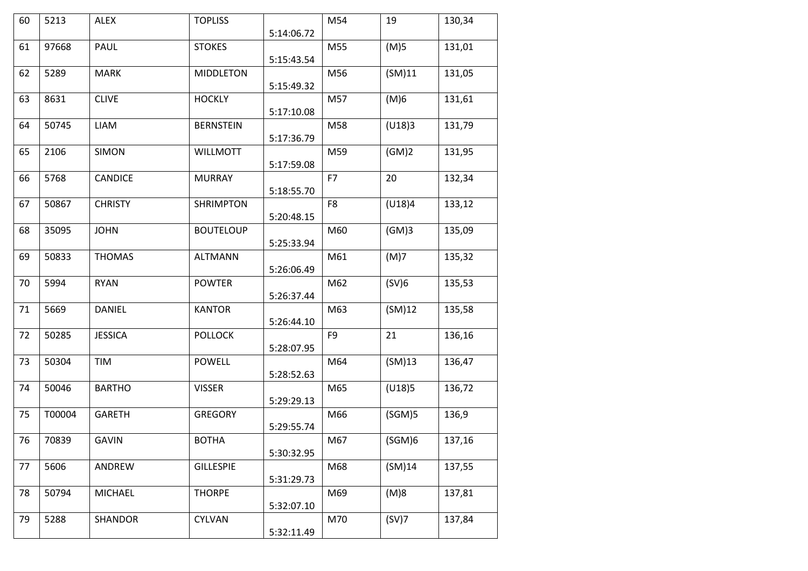| 60 | 5213   | <b>ALEX</b>    | <b>TOPLISS</b>   |            | M54            | 19     | 130,34 |
|----|--------|----------------|------------------|------------|----------------|--------|--------|
|    |        |                |                  | 5:14:06.72 |                |        |        |
| 61 | 97668  | PAUL           | <b>STOKES</b>    |            | M55            | (M)5   | 131,01 |
|    |        |                |                  | 5:15:43.54 |                |        |        |
| 62 | 5289   | <b>MARK</b>    | <b>MIDDLETON</b> |            | M56            | (SM)11 | 131,05 |
|    |        |                |                  | 5:15:49.32 |                |        |        |
| 63 | 8631   | <b>CLIVE</b>   | <b>HOCKLY</b>    |            | M57            | (M)6   | 131,61 |
|    |        |                |                  | 5:17:10.08 |                |        |        |
| 64 | 50745  | LIAM           | <b>BERNSTEIN</b> |            | M58            | (U18)3 | 131,79 |
|    |        |                |                  | 5:17:36.79 |                |        |        |
| 65 | 2106   | <b>SIMON</b>   | <b>WILLMOTT</b>  |            | M59            | (GM)2  | 131,95 |
|    |        |                |                  | 5:17:59.08 |                |        |        |
| 66 | 5768   | CANDICE        | <b>MURRAY</b>    |            | F7             | 20     | 132,34 |
|    |        |                |                  | 5:18:55.70 |                |        |        |
| 67 | 50867  | <b>CHRISTY</b> | <b>SHRIMPTON</b> |            | F8             | (U18)4 | 133,12 |
|    |        |                |                  | 5:20:48.15 |                |        |        |
| 68 | 35095  | <b>JOHN</b>    | <b>BOUTELOUP</b> |            | M60            | (GM)3  | 135,09 |
|    |        |                |                  | 5:25:33.94 |                |        |        |
| 69 | 50833  | <b>THOMAS</b>  | <b>ALTMANN</b>   |            | M61            | (M)7   | 135,32 |
|    |        |                |                  | 5:26:06.49 |                |        |        |
| 70 | 5994   | <b>RYAN</b>    | <b>POWTER</b>    |            | M62            | (SV)6  | 135,53 |
|    |        |                |                  | 5:26:37.44 |                |        |        |
| 71 | 5669   | DANIEL         | <b>KANTOR</b>    |            | M63            | (SM)12 | 135,58 |
|    |        |                |                  | 5:26:44.10 |                |        |        |
| 72 | 50285  | <b>JESSICA</b> | <b>POLLOCK</b>   |            | F <sub>9</sub> | 21     | 136,16 |
|    |        |                |                  | 5:28:07.95 |                |        |        |
| 73 | 50304  | TIM            | <b>POWELL</b>    |            | M64            | (SM)13 | 136,47 |
|    |        |                |                  | 5:28:52.63 |                |        |        |
| 74 | 50046  | <b>BARTHO</b>  | <b>VISSER</b>    |            | M65            | (U18)5 | 136,72 |
|    |        |                |                  | 5:29:29.13 |                |        |        |
| 75 | T00004 | <b>GARETH</b>  | <b>GREGORY</b>   |            | M66            | (SGM)5 | 136,9  |
|    |        |                |                  | 5:29:55.74 |                |        |        |
| 76 | 70839  | <b>GAVIN</b>   | <b>BOTHA</b>     |            | M67            | (SGM)6 | 137,16 |
|    |        |                |                  | 5:30:32.95 |                |        |        |
| 77 | 5606   | ANDREW         | <b>GILLESPIE</b> |            | M68            | (SM)14 | 137,55 |
|    |        |                |                  | 5:31:29.73 |                |        |        |
| 78 | 50794  | <b>MICHAEL</b> | <b>THORPE</b>    |            | M69            | (M)8   | 137,81 |
|    |        |                |                  | 5:32:07.10 |                |        |        |
| 79 | 5288   | SHANDOR        | <b>CYLVAN</b>    |            | M70            | (SV)7  | 137,84 |
|    |        |                |                  | 5:32:11.49 |                |        |        |
|    |        |                |                  |            |                |        |        |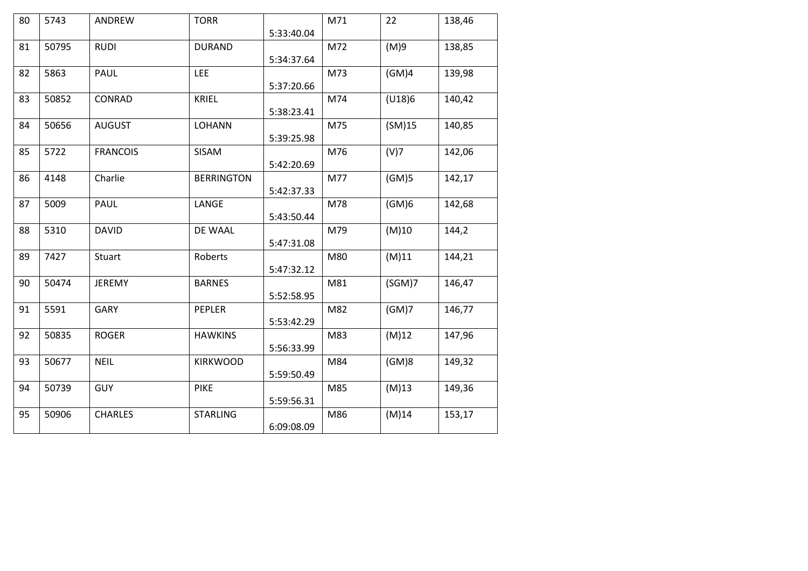| 80 | 5743  | ANDREW          | <b>TORR</b>       |            | M71 | 22       | 138,46 |
|----|-------|-----------------|-------------------|------------|-----|----------|--------|
|    |       |                 |                   | 5:33:40.04 |     |          |        |
| 81 | 50795 | <b>RUDI</b>     | <b>DURAND</b>     |            | M72 | (M)9     | 138,85 |
|    |       |                 |                   | 5:34:37.64 |     |          |        |
| 82 | 5863  | PAUL            | <b>LEE</b>        |            | M73 | (GM)4    | 139,98 |
|    |       |                 |                   | 5:37:20.66 |     |          |        |
| 83 | 50852 | CONRAD          | <b>KRIEL</b>      |            | M74 | (U18)6   | 140,42 |
|    |       |                 |                   |            |     |          |        |
|    |       |                 |                   | 5:38:23.41 |     |          |        |
| 84 | 50656 | <b>AUGUST</b>   | <b>LOHANN</b>     |            | M75 | (SM)15   | 140,85 |
|    |       |                 |                   | 5:39:25.98 |     |          |        |
| 85 | 5722  | <b>FRANCOIS</b> | SISAM             |            | M76 | (V)7     | 142,06 |
|    |       |                 |                   | 5:42:20.69 |     |          |        |
| 86 | 4148  | Charlie         | <b>BERRINGTON</b> |            | M77 | (GM)5    | 142,17 |
|    |       |                 |                   | 5:42:37.33 |     |          |        |
| 87 | 5009  | <b>PAUL</b>     | LANGE             |            | M78 | (GM)6    | 142,68 |
|    |       |                 |                   | 5:43:50.44 |     |          |        |
|    |       |                 |                   |            |     |          |        |
| 88 | 5310  | <b>DAVID</b>    | DE WAAL           |            | M79 | (M)10    | 144,2  |
|    |       |                 |                   | 5:47:31.08 |     |          |        |
| 89 | 7427  | Stuart          | Roberts           |            | M80 | (M)11    | 144,21 |
|    |       |                 |                   | 5:47:32.12 |     |          |        |
| 90 | 50474 | JEREMY          | <b>BARNES</b>     |            | M81 | (SGM)7   | 146,47 |
|    |       |                 |                   | 5:52:58.95 |     |          |        |
| 91 | 5591  | <b>GARY</b>     | PEPLER            |            | M82 | (GM)7    | 146,77 |
|    |       |                 |                   | 5:53:42.29 |     |          |        |
|    |       |                 |                   |            |     |          |        |
| 92 | 50835 | <b>ROGER</b>    | <b>HAWKINS</b>    |            | M83 | (M)12    | 147,96 |
|    |       |                 |                   | 5:56:33.99 |     |          |        |
| 93 | 50677 | <b>NEIL</b>     | <b>KIRKWOOD</b>   |            | M84 | (GM)8    | 149,32 |
|    |       |                 |                   | 5:59:50.49 |     |          |        |
| 94 | 50739 | <b>GUY</b>      | <b>PIKE</b>       |            | M85 | $(M)$ 13 | 149,36 |
|    |       |                 |                   | 5:59:56.31 |     |          |        |
| 95 | 50906 | <b>CHARLES</b>  | <b>STARLING</b>   |            | M86 | (M)14    | 153,17 |
|    |       |                 |                   | 6:09:08.09 |     |          |        |
|    |       |                 |                   |            |     |          |        |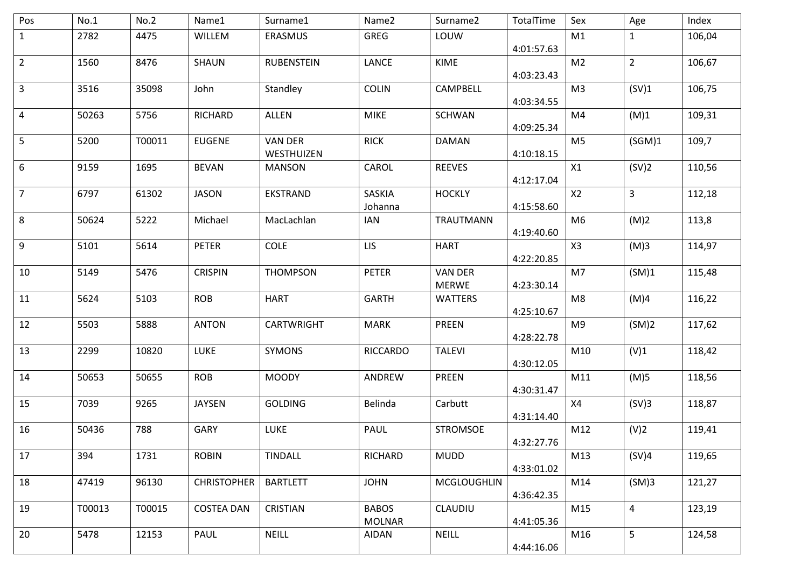| Pos            | No.1   | No.2   | Name1              | Surname1                     | Name2                         | Surname2                       | TotalTime  | Sex            | Age                     | Index  |
|----------------|--------|--------|--------------------|------------------------------|-------------------------------|--------------------------------|------------|----------------|-------------------------|--------|
| $\mathbf{1}$   | 2782   | 4475   | WILLEM             | ERASMUS                      | <b>GREG</b>                   | LOUW                           | 4:01:57.63 | M1             | $\mathbf{1}$            | 106,04 |
| $\overline{2}$ | 1560   | 8476   | <b>SHAUN</b>       | <b>RUBENSTEIN</b>            | LANCE                         | KIME                           | 4:03:23.43 | M <sub>2</sub> | $\overline{2}$          | 106,67 |
| 3              | 3516   | 35098  | John               | Standley                     | <b>COLIN</b>                  | CAMPBELL                       | 4:03:34.55 | M <sub>3</sub> | (SV)1                   | 106,75 |
| 4              | 50263  | 5756   | <b>RICHARD</b>     | <b>ALLEN</b>                 | <b>MIKE</b>                   | <b>SCHWAN</b>                  | 4:09:25.34 | M4             | (M)1                    | 109,31 |
| 5              | 5200   | T00011 | <b>EUGENE</b>      | <b>VAN DER</b><br>WESTHUIZEN | <b>RICK</b>                   | <b>DAMAN</b>                   | 4:10:18.15 | M <sub>5</sub> | (SGM)1                  | 109,7  |
| 6              | 9159   | 1695   | <b>BEVAN</b>       | <b>MANSON</b>                | CAROL                         | <b>REEVES</b>                  | 4:12:17.04 | X1             | (SV)2                   | 110,56 |
| $\overline{7}$ | 6797   | 61302  | <b>JASON</b>       | EKSTRAND                     | SASKIA<br>Johanna             | <b>HOCKLY</b>                  | 4:15:58.60 | X2             | $\mathbf{3}$            | 112,18 |
| 8              | 50624  | 5222   | Michael            | MacLachlan                   | <b>IAN</b>                    | TRAUTMANN                      | 4:19:40.60 | M <sub>6</sub> | (M)2                    | 113,8  |
| 9              | 5101   | 5614   | <b>PETER</b>       | <b>COLE</b>                  | <b>LIS</b>                    | <b>HART</b>                    | 4:22:20.85 | X3             | (M)3                    | 114,97 |
| 10             | 5149   | 5476   | <b>CRISPIN</b>     | <b>THOMPSON</b>              | <b>PETER</b>                  | <b>VAN DER</b><br><b>MERWE</b> | 4:23:30.14 | M7             | (SM)1                   | 115,48 |
| 11             | 5624   | 5103   | <b>ROB</b>         | <b>HART</b>                  | <b>GARTH</b>                  | <b>WATTERS</b>                 | 4:25:10.67 | M8             | (M)4                    | 116,22 |
| 12             | 5503   | 5888   | <b>ANTON</b>       | CARTWRIGHT                   | <b>MARK</b>                   | <b>PREEN</b>                   | 4:28:22.78 | M9             | (SM)2                   | 117,62 |
| 13             | 2299   | 10820  | LUKE               | <b>SYMONS</b>                | <b>RICCARDO</b>               | <b>TALEVI</b>                  | 4:30:12.05 | M10            | (V)1                    | 118,42 |
| 14             | 50653  | 50655  | <b>ROB</b>         | <b>MOODY</b>                 | ANDREW                        | PREEN                          | 4:30:31.47 | M11            | (M)5                    | 118,56 |
| 15             | 7039   | 9265   | <b>JAYSEN</b>      | <b>GOLDING</b>               | Belinda                       | Carbutt                        | 4:31:14.40 | X4             | (SV)3                   | 118,87 |
| 16             | 50436  | 788    | GARY               | <b>LUKE</b>                  | PAUL                          | <b>STROMSOE</b>                | 4:32:27.76 | M12            | (V)2                    | 119,41 |
| 17             | 394    | 1731   | <b>ROBIN</b>       | <b>TINDALL</b>               | RICHARD                       | <b>MUDD</b>                    | 4:33:01.02 | M13            | (SV)4                   | 119,65 |
| 18             | 47419  | 96130  | <b>CHRISTOPHER</b> | <b>BARTLETT</b>              | <b>JOHN</b>                   | <b>MCGLOUGHLIN</b>             | 4:36:42.35 | M14            | (SM)3                   | 121,27 |
| 19             | T00013 | T00015 | <b>COSTEA DAN</b>  | CRISTIAN                     | <b>BABOS</b><br><b>MOLNAR</b> | <b>CLAUDIU</b>                 | 4:41:05.36 | M15            | $\overline{\mathbf{4}}$ | 123,19 |
| 20             | 5478   | 12153  | PAUL               | <b>NEILL</b>                 | AIDAN                         | <b>NEILL</b>                   | 4:44:16.06 | M16            | 5                       | 124,58 |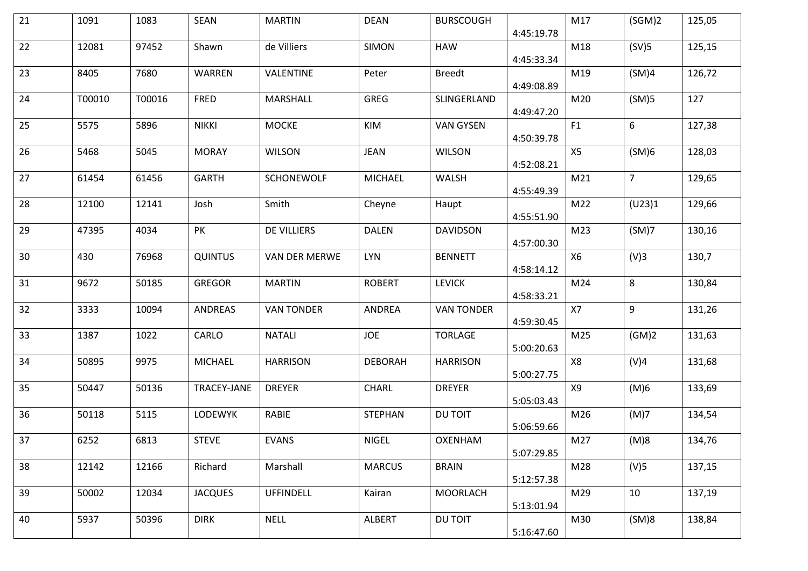| 21 | 1091   | 1083   | SEAN           | <b>MARTIN</b>     | <b>DEAN</b>    | <b>BURSCOUGH</b>  | 4:45:19.78 | M17       | (SGM)2         | 125,05 |
|----|--------|--------|----------------|-------------------|----------------|-------------------|------------|-----------|----------------|--------|
| 22 | 12081  | 97452  | Shawn          | de Villiers       | <b>SIMON</b>   | <b>HAW</b>        | 4:45:33.34 | M18       | (SV)5          | 125,15 |
| 23 | 8405   | 7680   | WARREN         | VALENTINE         | Peter          | <b>Breedt</b>     | 4:49:08.89 | M19       | (SM)4          | 126,72 |
| 24 | T00010 | T00016 | <b>FRED</b>    | MARSHALL          | GREG           | SLINGERLAND       | 4:49:47.20 | M20       | (SM)5          | 127    |
| 25 | 5575   | 5896   | <b>NIKKI</b>   | <b>MOCKE</b>      | KIM            | <b>VAN GYSEN</b>  | 4:50:39.78 | F1        | 6              | 127,38 |
| 26 | 5468   | 5045   | <b>MORAY</b>   | <b>WILSON</b>     | <b>JEAN</b>    | <b>WILSON</b>     | 4:52:08.21 | X5        | (SM)6          | 128,03 |
| 27 | 61454  | 61456  | <b>GARTH</b>   | <b>SCHONEWOLF</b> | <b>MICHAEL</b> | WALSH             | 4:55:49.39 | M21       | $\overline{7}$ | 129,65 |
| 28 | 12100  | 12141  | Josh           | Smith             | Cheyne         | Haupt             | 4:55:51.90 | M22       | (U23)1         | 129,66 |
| 29 | 47395  | 4034   | PK             | DE VILLIERS       | <b>DALEN</b>   | <b>DAVIDSON</b>   | 4:57:00.30 | M23       | (SM)7          | 130,16 |
| 30 | 430    | 76968  | <b>QUINTUS</b> | VAN DER MERWE     | <b>LYN</b>     | <b>BENNETT</b>    | 4:58:14.12 | <b>X6</b> | (V)3           | 130,7  |
| 31 | 9672   | 50185  | <b>GREGOR</b>  | <b>MARTIN</b>     | <b>ROBERT</b>  | <b>LEVICK</b>     | 4:58:33.21 | M24       | 8              | 130,84 |
| 32 | 3333   | 10094  | <b>ANDREAS</b> | <b>VAN TONDER</b> | ANDREA         | <b>VAN TONDER</b> | 4:59:30.45 | X7        | 9              | 131,26 |
| 33 | 1387   | 1022   | CARLO          | <b>NATALI</b>     | <b>JOE</b>     | <b>TORLAGE</b>    | 5:00:20.63 | M25       | (GM)2          | 131,63 |
| 34 | 50895  | 9975   | <b>MICHAEL</b> | <b>HARRISON</b>   | <b>DEBORAH</b> | <b>HARRISON</b>   | 5:00:27.75 | X8        | (V)4           | 131,68 |
| 35 | 50447  | 50136  | TRACEY-JANE    | <b>DREYER</b>     | CHARL          | <b>DREYER</b>     | 5:05:03.43 | X9        | (M)6           | 133,69 |
| 36 | 50118  | 5115   | LODEWYK        | RABIE             | <b>STEPHAN</b> | DU TOIT           | 5:06:59.66 | M26       | (M)7           | 134,54 |
| 37 | 6252   | 6813   | <b>STEVE</b>   | <b>EVANS</b>      | NIGEL          | OXENHAM           | 5:07:29.85 | M27       | (M)8           | 134,76 |
| 38 | 12142  | 12166  | Richard        | Marshall          | <b>MARCUS</b>  | <b>BRAIN</b>      | 5:12:57.38 | M28       | (V)5           | 137,15 |
| 39 | 50002  | 12034  | <b>JACQUES</b> | <b>UFFINDELL</b>  | Kairan         | <b>MOORLACH</b>   | 5:13:01.94 | M29       | 10             | 137,19 |
| 40 | 5937   | 50396  | <b>DIRK</b>    | <b>NELL</b>       | ALBERT         | DU TOIT           | 5:16:47.60 | M30       | (SM)8          | 138,84 |